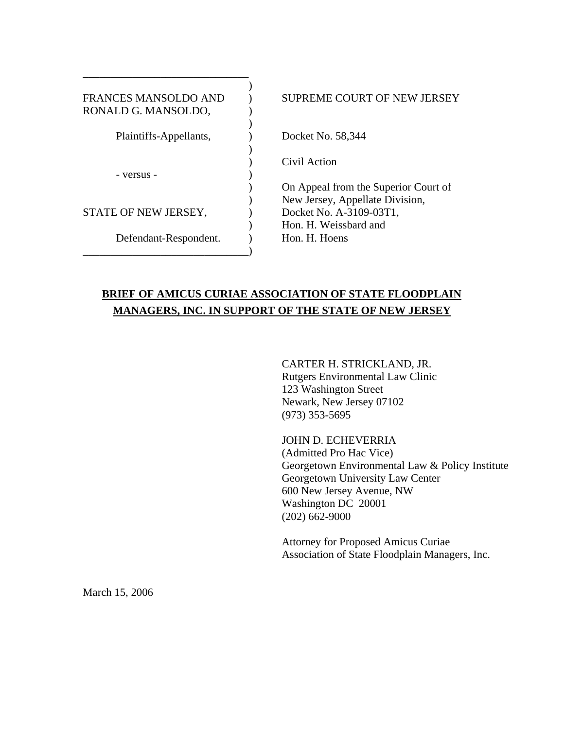| <b>FRANCES MANSOLDO AND</b><br>RONALD G. MANSOLDO, | SUPREME COURT OF NEW JERSEY          |
|----------------------------------------------------|--------------------------------------|
| Plaintiffs-Appellants,                             | Docket No. 58,344                    |
|                                                    | Civil Action                         |
| - versus -                                         | On Appeal from the Superior Court of |
|                                                    | New Jersey, Appellate Division,      |
| STATE OF NEW JERSEY,                               | Docket No. A-3109-03T1,              |
|                                                    | Hon. H. Weissbard and                |
| Defendant-Respondent.                              | Hon. H. Hoens                        |
|                                                    |                                      |

# **BRIEF OF AMICUS CURIAE ASSOCIATION OF STATE FLOODPLAIN MANAGERS, INC. IN SUPPORT OF THE STATE OF NEW JERSEY**

CARTER H. STRICKLAND, JR. Rutgers Environmental Law Clinic 123 Washington Street Newark, New Jersey 07102 (973) 353-5695

 JOHN D. ECHEVERRIA (Admitted Pro Hac Vice) Georgetown Environmental Law & Policy Institute Georgetown University Law Center 600 New Jersey Avenue, NW Washington DC 20001 (202) 662-9000

Attorney for Proposed Amicus Curiae Association of State Floodplain Managers, Inc.

March 15, 2006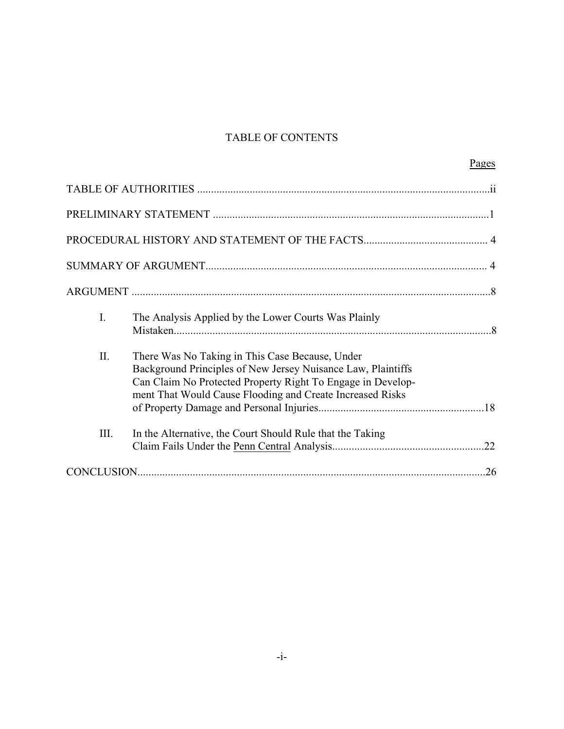## TABLE OF CONTENTS

|      |                                                                                                                                                                                                                                             | Pages |
|------|---------------------------------------------------------------------------------------------------------------------------------------------------------------------------------------------------------------------------------------------|-------|
|      |                                                                                                                                                                                                                                             |       |
|      |                                                                                                                                                                                                                                             |       |
|      |                                                                                                                                                                                                                                             |       |
|      |                                                                                                                                                                                                                                             |       |
|      |                                                                                                                                                                                                                                             |       |
| I.   | The Analysis Applied by the Lower Courts Was Plainly                                                                                                                                                                                        |       |
| II.  | There Was No Taking in This Case Because, Under<br>Background Principles of New Jersey Nuisance Law, Plaintiffs<br>Can Claim No Protected Property Right To Engage in Develop-<br>ment That Would Cause Flooding and Create Increased Risks |       |
| III. | In the Alternative, the Court Should Rule that the Taking                                                                                                                                                                                   |       |
|      |                                                                                                                                                                                                                                             |       |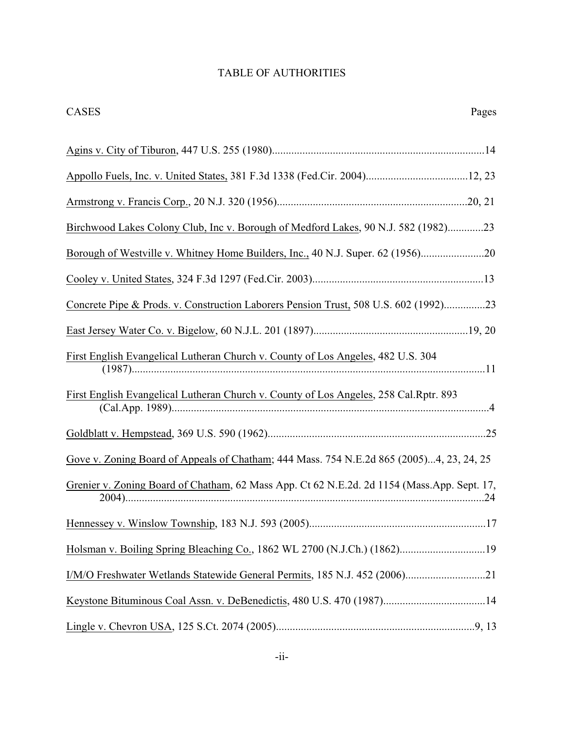# TABLE OF AUTHORITIES

CASES Pages

| Appollo Fuels, Inc. v. United States, 381 F.3d 1338 (Fed.Cir. 2004)12, 23                   |
|---------------------------------------------------------------------------------------------|
|                                                                                             |
| Birchwood Lakes Colony Club, Inc v. Borough of Medford Lakes, 90 N.J. 582 (1982)23          |
| Borough of Westville v. Whitney Home Builders, Inc., 40 N.J. Super. 62 (1956)20             |
|                                                                                             |
| Concrete Pipe & Prods. v. Construction Laborers Pension Trust, 508 U.S. 602 (1992)23        |
|                                                                                             |
| First English Evangelical Lutheran Church v. County of Los Angeles, 482 U.S. 304            |
| First English Evangelical Lutheran Church v. County of Los Angeles, 258 Cal.Rptr. 893       |
|                                                                                             |
| Gove v. Zoning Board of Appeals of Chatham; 444 Mass. 754 N.E.2d 865 (2005)4, 23, 24, 25    |
| Grenier v. Zoning Board of Chatham, 62 Mass App. Ct 62 N.E.2d. 2d 1154 (Mass.App. Sept. 17, |
|                                                                                             |
| Holsman v. Boiling Spring Bleaching Co., 1862 WL 2700 (N.J.Ch.) (1862)19                    |
| I/M/O Freshwater Wetlands Statewide General Permits, 185 N.J. 452 (2006)21                  |
| Keystone Bituminous Coal Assn. v. DeBenedictis, 480 U.S. 470 (1987)14                       |
|                                                                                             |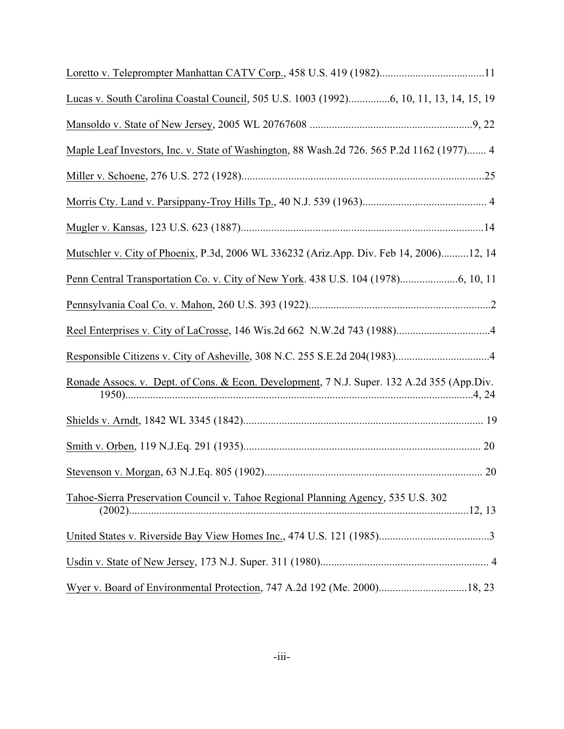| Loretto v. Teleprompter Manhattan CATV Corp., 458 U.S. 419 (1982)11                        |  |
|--------------------------------------------------------------------------------------------|--|
| Lucas v. South Carolina Coastal Council, 505 U.S. 1003 (1992)6, 10, 11, 13, 14, 15, 19     |  |
|                                                                                            |  |
| Maple Leaf Investors, Inc. v. State of Washington, 88 Wash.2d 726. 565 P.2d 1162 (1977) 4  |  |
|                                                                                            |  |
|                                                                                            |  |
|                                                                                            |  |
| Mutschler v. City of Phoenix, P.3d, 2006 WL 336232 (Ariz.App. Div. Feb 14, 2006)12, 14     |  |
|                                                                                            |  |
|                                                                                            |  |
|                                                                                            |  |
|                                                                                            |  |
| Ronade Assocs. v. Dept. of Cons. & Econ. Development, 7 N.J. Super. 132 A.2d 355 (App.Div. |  |
|                                                                                            |  |
|                                                                                            |  |
|                                                                                            |  |
| Tahoe-Sierra Preservation Council v. Tahoe Regional Planning Agency, 535 U.S. 302          |  |
|                                                                                            |  |
|                                                                                            |  |
| Wyer v. Board of Environmental Protection, 747 A.2d 192 (Me. 2000)18, 23                   |  |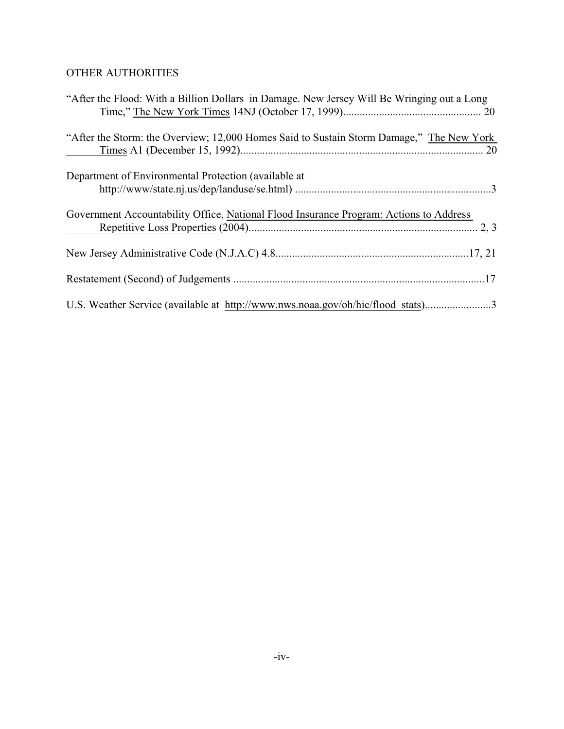# OTHER AUTHORITIES

| "After the Flood: With a Billion Dollars in Damage. New Jersey Will Be Wringing out a Long                             |
|------------------------------------------------------------------------------------------------------------------------|
| "After the Storm: the Overview; 12,000 Homes Said to Sustain Storm Damage," The New York<br>$\mathcal{L}^{\text{max}}$ |
| Department of Environmental Protection (available at                                                                   |
| Government Accountability Office, National Flood Insurance Program: Actions to Address<br>$\overline{\phantom{a}}$     |
|                                                                                                                        |
|                                                                                                                        |
| U.S. Weather Service (available at http://www.nws.noaa.gov/oh/hic/flood stats)3                                        |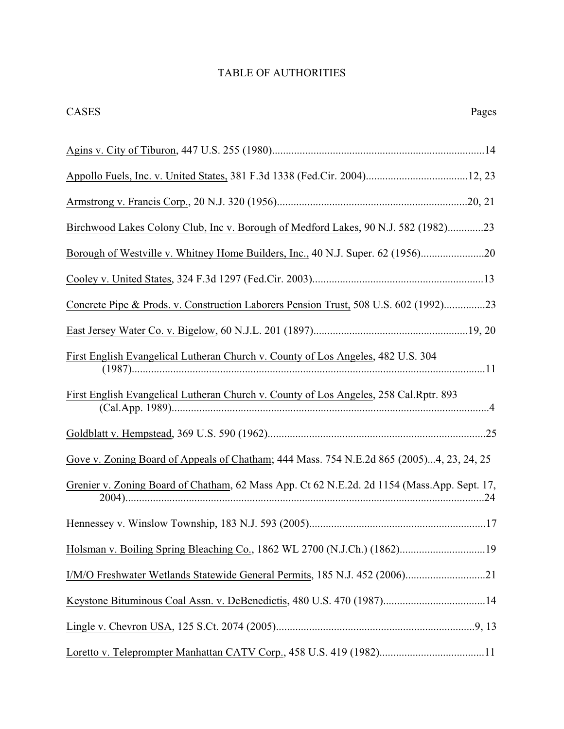# TABLE OF AUTHORITIES

CASES Pages

| Appollo Fuels, Inc. v. United States, 381 F.3d 1338 (Fed.Cir. 2004)12, 23                   |
|---------------------------------------------------------------------------------------------|
|                                                                                             |
| Birchwood Lakes Colony Club, Inc v. Borough of Medford Lakes, 90 N.J. 582 (1982)23          |
| Borough of Westville v. Whitney Home Builders, Inc., 40 N.J. Super. 62 (1956)20             |
|                                                                                             |
| Concrete Pipe & Prods. v. Construction Laborers Pension Trust, 508 U.S. 602 (1992)23        |
|                                                                                             |
| First English Evangelical Lutheran Church v. County of Los Angeles, 482 U.S. 304            |
| First English Evangelical Lutheran Church v. County of Los Angeles, 258 Cal.Rptr. 893       |
|                                                                                             |
| Gove v. Zoning Board of Appeals of Chatham; 444 Mass. 754 N.E.2d 865 (2005)4, 23, 24, 25    |
| Grenier v. Zoning Board of Chatham, 62 Mass App. Ct 62 N.E.2d. 2d 1154 (Mass.App. Sept. 17, |
|                                                                                             |
| Holsman v. Boiling Spring Bleaching Co., 1862 WL 2700 (N.J.Ch.) (1862)19                    |
| I/M/O Freshwater Wetlands Statewide General Permits, 185 N.J. 452 (2006)21                  |
| Keystone Bituminous Coal Assn. v. DeBenedictis, 480 U.S. 470 (1987)14                       |
|                                                                                             |
| Loretto v. Teleprompter Manhattan CATV Corp., 458 U.S. 419 (1982)11                         |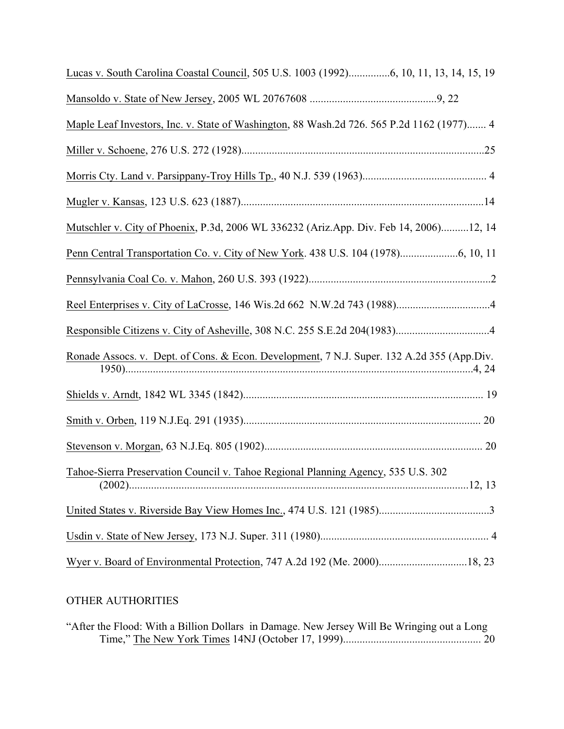| Lucas v. South Carolina Coastal Council, 505 U.S. 1003 (1992)6, 10, 11, 13, 14, 15, 19     |
|--------------------------------------------------------------------------------------------|
|                                                                                            |
| Maple Leaf Investors, Inc. v. State of Washington, 88 Wash.2d 726. 565 P.2d 1162 (1977) 4  |
|                                                                                            |
|                                                                                            |
|                                                                                            |
| Mutschler v. City of Phoenix, P.3d, 2006 WL 336232 (Ariz.App. Div. Feb 14, 2006)12, 14     |
|                                                                                            |
|                                                                                            |
|                                                                                            |
|                                                                                            |
| Ronade Assocs. v. Dept. of Cons. & Econ. Development, 7 N.J. Super. 132 A.2d 355 (App.Div. |
|                                                                                            |
|                                                                                            |
|                                                                                            |
| Tahoe-Sierra Preservation Council v. Tahoe Regional Planning Agency, 535 U.S. 302          |
|                                                                                            |
|                                                                                            |
|                                                                                            |

# OTHER AUTHORITIES

|  |  | "After the Flood: With a Billion Dollars in Damage. New Jersey Will Be Wringing out a Long |
|--|--|--------------------------------------------------------------------------------------------|
|  |  |                                                                                            |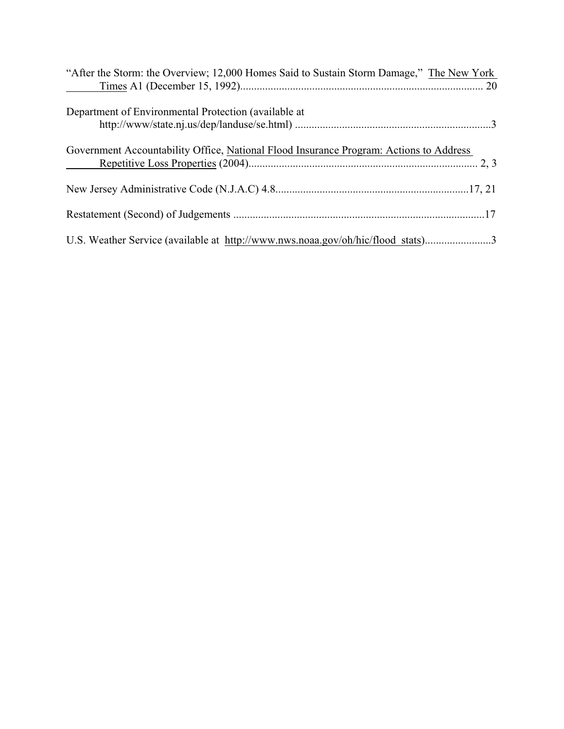| "After the Storm: the Overview; 12,000 Homes Said to Sustain Storm Damage," The New York                             |
|----------------------------------------------------------------------------------------------------------------------|
| Department of Environmental Protection (available at                                                                 |
| Government Accountability Office, National Flood Insurance Program: Actions to Address<br>$\mathcal{L}^{\text{max}}$ |
|                                                                                                                      |
|                                                                                                                      |
| U.S. Weather Service (available at http://www.nws.noaa.gov/oh/hic/flood stats)3                                      |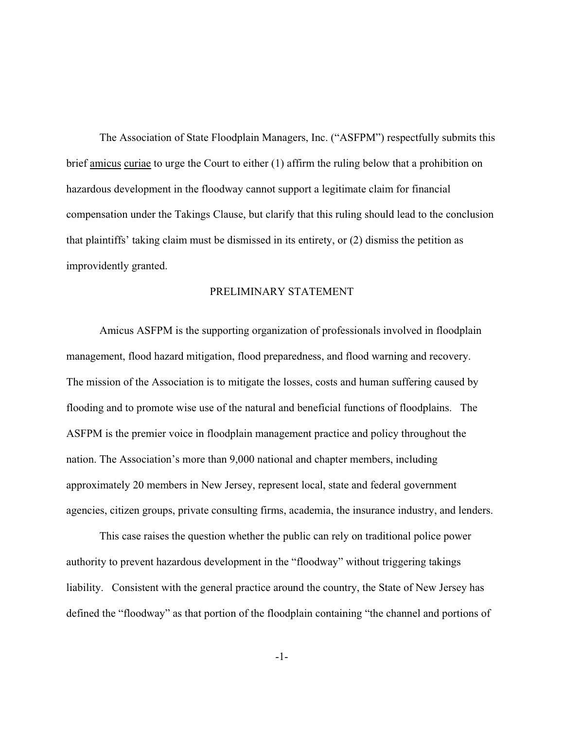The Association of State Floodplain Managers, Inc. ("ASFPM") respectfully submits this brief amicus curiae to urge the Court to either (1) affirm the ruling below that a prohibition on hazardous development in the floodway cannot support a legitimate claim for financial compensation under the Takings Clause, but clarify that this ruling should lead to the conclusion that plaintiffs' taking claim must be dismissed in its entirety, or (2) dismiss the petition as improvidently granted.

### PRELIMINARY STATEMENT

Amicus ASFPM is the supporting organization of professionals involved in floodplain management, flood hazard mitigation, flood preparedness, and flood warning and recovery. The mission of the Association is to mitigate the losses, costs and human suffering caused by flooding and to promote wise use of the natural and beneficial functions of floodplains. The ASFPM is the premier voice in floodplain management practice and policy throughout the nation. The Association's more than 9,000 national and chapter members, including approximately 20 members in New Jersey, represent local, state and federal government agencies, citizen groups, private consulting firms, academia, the insurance industry, and lenders.

This case raises the question whether the public can rely on traditional police power authority to prevent hazardous development in the "floodway" without triggering takings liability. Consistent with the general practice around the country, the State of New Jersey has defined the "floodway" as that portion of the floodplain containing "the channel and portions of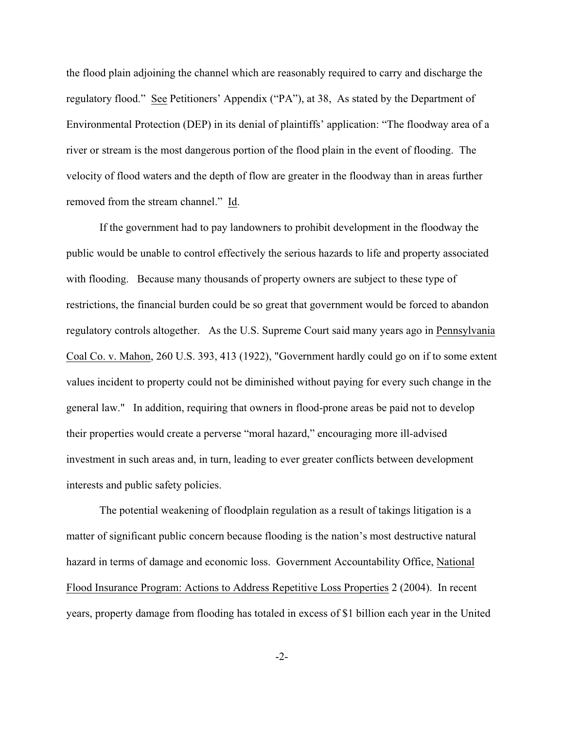the flood plain adjoining the channel which are reasonably required to carry and discharge the regulatory flood." See Petitioners' Appendix ("PA"), at 38, As stated by the Department of Environmental Protection (DEP) in its denial of plaintiffs' application: "The floodway area of a river or stream is the most dangerous portion of the flood plain in the event of flooding. The velocity of flood waters and the depth of flow are greater in the floodway than in areas further removed from the stream channel." Id.

If the government had to pay landowners to prohibit development in the floodway the public would be unable to control effectively the serious hazards to life and property associated with flooding. Because many thousands of property owners are subject to these type of restrictions, the financial burden could be so great that government would be forced to abandon regulatory controls altogether. As the U.S. Supreme Court said many years ago in Pennsylvania Coal Co. v. Mahon, 260 U.S. 393, 413 (1922), "Government hardly could go on if to some extent values incident to property could not be diminished without paying for every such change in the general law." In addition, requiring that owners in flood-prone areas be paid not to develop their properties would create a perverse "moral hazard," encouraging more ill-advised investment in such areas and, in turn, leading to ever greater conflicts between development interests and public safety policies.

The potential weakening of floodplain regulation as a result of takings litigation is a matter of significant public concern because flooding is the nation's most destructive natural hazard in terms of damage and economic loss. Government Accountability Office, National Flood Insurance Program: Actions to Address Repetitive Loss Properties 2 (2004). In recent years, property damage from flooding has totaled in excess of \$1 billion each year in the United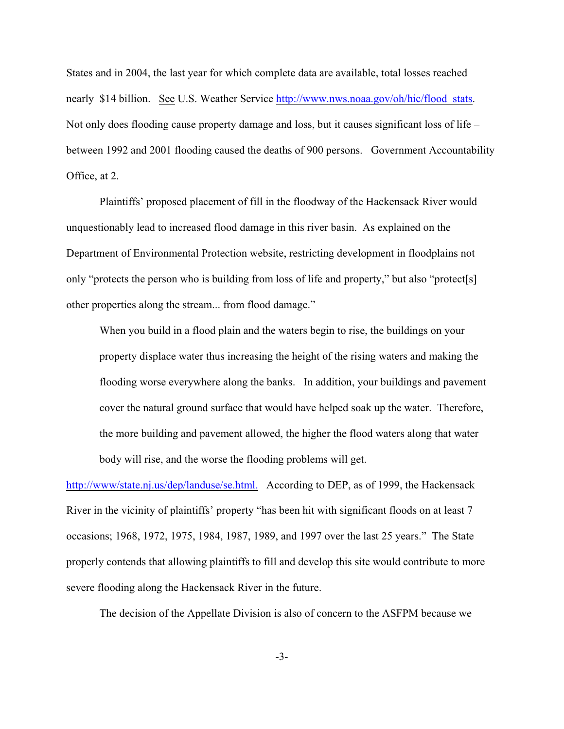States and in 2004, the last year for which complete data are available, total losses reached nearly \$14 billion. See U.S. Weather Service http://www.nws.noaa.gov/oh/hic/flood stats. Not only does flooding cause property damage and loss, but it causes significant loss of life – between 1992 and 2001 flooding caused the deaths of 900 persons. Government Accountability Office, at 2.

Plaintiffs' proposed placement of fill in the floodway of the Hackensack River would unquestionably lead to increased flood damage in this river basin. As explained on the Department of Environmental Protection website, restricting development in floodplains not only "protects the person who is building from loss of life and property," but also "protect[s] other properties along the stream... from flood damage."

When you build in a flood plain and the waters begin to rise, the buildings on your property displace water thus increasing the height of the rising waters and making the flooding worse everywhere along the banks. In addition, your buildings and pavement cover the natural ground surface that would have helped soak up the water. Therefore, the more building and pavement allowed, the higher the flood waters along that water body will rise, and the worse the flooding problems will get.

[http://www/state.nj.us/dep/landuse/se.html.](Http://www/state.nj.us/dep/landuse/se.html.) According to DEP, as of 1999, the Hackensack River in the vicinity of plaintiffs' property "has been hit with significant floods on at least 7 occasions; 1968, 1972, 1975, 1984, 1987, 1989, and 1997 over the last 25 years." The State properly contends that allowing plaintiffs to fill and develop this site would contribute to more severe flooding along the Hackensack River in the future.

The decision of the Appellate Division is also of concern to the ASFPM because we

-3-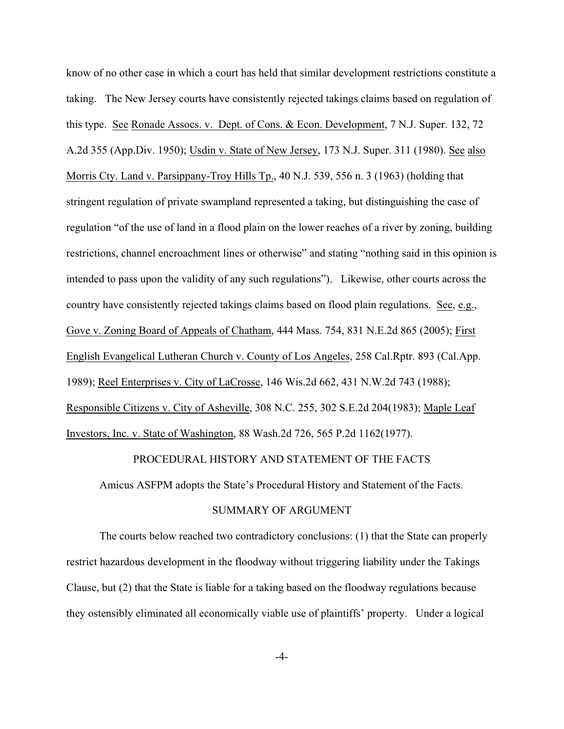know of no other case in which a court has held that similar development restrictions constitute a taking. The New Jersey courts have consistently rejected takings claims based on regulation of this type. See Ronade Assocs. v. Dept. of Cons. & Econ. Development, 7 N.J. Super. 132, 72 A.2d 355 (App.Div. 1950); Usdin v. State of New Jersey, 173 N.J. Super. 311 (1980). See also Morris Cty. Land v. Parsippany-Troy Hills Tp., 40 N.J. 539, 556 n. 3 (1963) (holding that stringent regulation of private swampland represented a taking, but distinguishing the case of regulation "of the use of land in a flood plain on the lower reaches of a river by zoning, building restrictions, channel encroachment lines or otherwise" and stating "nothing said in this opinion is intended to pass upon the validity of any such regulations"). Likewise, other courts across the country have consistently rejected takings claims based on flood plain regulations. See, e.g., Gove v. Zoning Board of Appeals of Chatham, 444 Mass. 754, 831 N.E.2d 865 (2005); First English Evangelical Lutheran Church v. County of Los Angeles, 258 Cal.Rptr. 893 (Cal.App. 1989); Reel Enterprises v. City of LaCrosse, 146 Wis.2d 662, 431 N.W.2d 743 (1988); Responsible Citizens v. City of Asheville, 308 N.C. 255, 302 S.E.2d 204(1983); Maple Leaf Investors, Inc. v. State of Washington, 88 Wash.2d 726, 565 P.2d 1162(1977).

### PROCEDURAL HISTORY AND STATEMENT OF THE FACTS

Amicus ASFPM adopts the State's Procedural History and Statement of the Facts.

### SUMMARY OF ARGUMENT

The courts below reached two contradictory conclusions: (1) that the State can properly restrict hazardous development in the floodway without triggering liability under the Takings Clause, but (2) that the State is liable for a taking based on the floodway regulations because they ostensibly eliminated all economically viable use of plaintiffs' property. Under a logical

-4-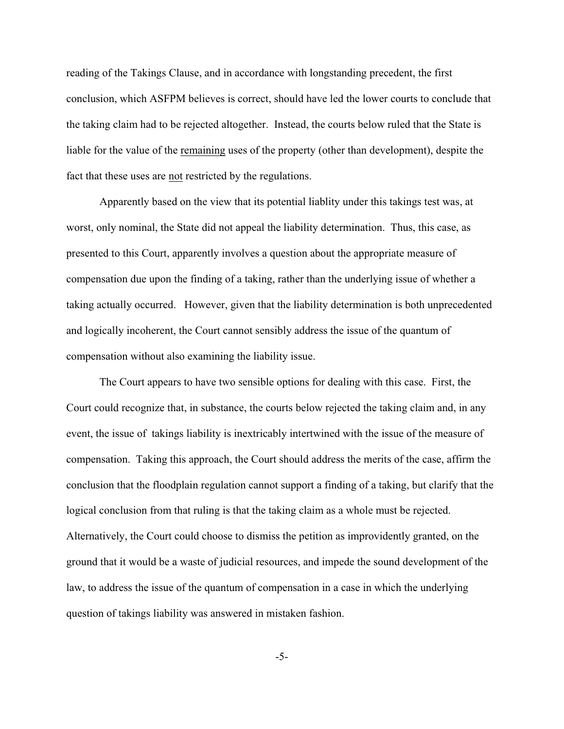reading of the Takings Clause, and in accordance with longstanding precedent, the first conclusion, which ASFPM believes is correct, should have led the lower courts to conclude that the taking claim had to be rejected altogether. Instead, the courts below ruled that the State is liable for the value of the remaining uses of the property (other than development), despite the fact that these uses are not restricted by the regulations.

Apparently based on the view that its potential liablity under this takings test was, at worst, only nominal, the State did not appeal the liability determination. Thus, this case, as presented to this Court, apparently involves a question about the appropriate measure of compensation due upon the finding of a taking, rather than the underlying issue of whether a taking actually occurred. However, given that the liability determination is both unprecedented and logically incoherent, the Court cannot sensibly address the issue of the quantum of compensation without also examining the liability issue.

The Court appears to have two sensible options for dealing with this case. First, the Court could recognize that, in substance, the courts below rejected the taking claim and, in any event, the issue of takings liability is inextricably intertwined with the issue of the measure of compensation. Taking this approach, the Court should address the merits of the case, affirm the conclusion that the floodplain regulation cannot support a finding of a taking, but clarify that the logical conclusion from that ruling is that the taking claim as a whole must be rejected. Alternatively, the Court could choose to dismiss the petition as improvidently granted, on the ground that it would be a waste of judicial resources, and impede the sound development of the law, to address the issue of the quantum of compensation in a case in which the underlying question of takings liability was answered in mistaken fashion.

-5-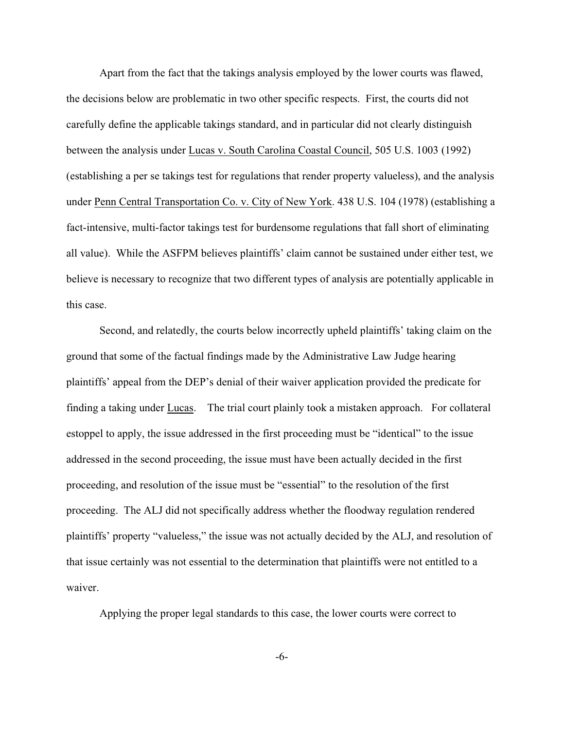Apart from the fact that the takings analysis employed by the lower courts was flawed, the decisions below are problematic in two other specific respects. First, the courts did not carefully define the applicable takings standard, and in particular did not clearly distinguish between the analysis under Lucas v. South Carolina Coastal Council, 505 U.S. 1003 (1992) (establishing a per se takings test for regulations that render property valueless), and the analysis under Penn Central Transportation Co. v. City of New York. 438 U.S. 104 (1978) (establishing a fact-intensive, multi-factor takings test for burdensome regulations that fall short of eliminating all value). While the ASFPM believes plaintiffs' claim cannot be sustained under either test, we believe is necessary to recognize that two different types of analysis are potentially applicable in this case.

Second, and relatedly, the courts below incorrectly upheld plaintiffs' taking claim on the ground that some of the factual findings made by the Administrative Law Judge hearing plaintiffs' appeal from the DEP's denial of their waiver application provided the predicate for finding a taking under Lucas. The trial court plainly took a mistaken approach. For collateral estoppel to apply, the issue addressed in the first proceeding must be "identical" to the issue addressed in the second proceeding, the issue must have been actually decided in the first proceeding, and resolution of the issue must be "essential" to the resolution of the first proceeding. The ALJ did not specifically address whether the floodway regulation rendered plaintiffs' property "valueless," the issue was not actually decided by the ALJ, and resolution of that issue certainly was not essential to the determination that plaintiffs were not entitled to a waiver.

Applying the proper legal standards to this case, the lower courts were correct to

-6-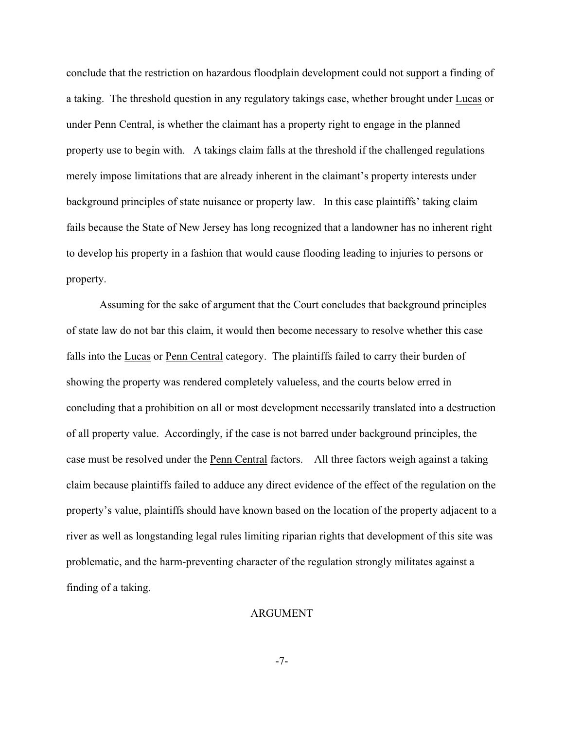conclude that the restriction on hazardous floodplain development could not support a finding of a taking. The threshold question in any regulatory takings case, whether brought under Lucas or under Penn Central, is whether the claimant has a property right to engage in the planned property use to begin with. A takings claim falls at the threshold if the challenged regulations merely impose limitations that are already inherent in the claimant's property interests under background principles of state nuisance or property law. In this case plaintiffs' taking claim fails because the State of New Jersey has long recognized that a landowner has no inherent right to develop his property in a fashion that would cause flooding leading to injuries to persons or property.

Assuming for the sake of argument that the Court concludes that background principles of state law do not bar this claim, it would then become necessary to resolve whether this case falls into the Lucas or Penn Central category. The plaintiffs failed to carry their burden of showing the property was rendered completely valueless, and the courts below erred in concluding that a prohibition on all or most development necessarily translated into a destruction of all property value. Accordingly, if the case is not barred under background principles, the case must be resolved under the Penn Central factors. All three factors weigh against a taking claim because plaintiffs failed to adduce any direct evidence of the effect of the regulation on the property's value, plaintiffs should have known based on the location of the property adjacent to a river as well as longstanding legal rules limiting riparian rights that development of this site was problematic, and the harm-preventing character of the regulation strongly militates against a finding of a taking.

#### ARGUMENT

-7-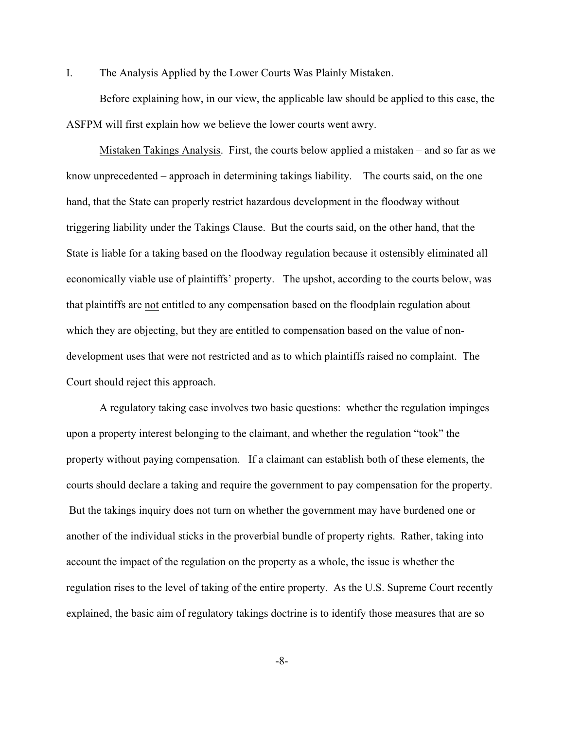I. The Analysis Applied by the Lower Courts Was Plainly Mistaken.

Before explaining how, in our view, the applicable law should be applied to this case, the ASFPM will first explain how we believe the lower courts went awry.

Mistaken Takings Analysis. First, the courts below applied a mistaken – and so far as we know unprecedented – approach in determining takings liability. The courts said, on the one hand, that the State can properly restrict hazardous development in the floodway without triggering liability under the Takings Clause. But the courts said, on the other hand, that the State is liable for a taking based on the floodway regulation because it ostensibly eliminated all economically viable use of plaintiffs' property. The upshot, according to the courts below, was that plaintiffs are not entitled to any compensation based on the floodplain regulation about which they are objecting, but they are entitled to compensation based on the value of nondevelopment uses that were not restricted and as to which plaintiffs raised no complaint. The Court should reject this approach.

A regulatory taking case involves two basic questions: whether the regulation impinges upon a property interest belonging to the claimant, and whether the regulation "took" the property without paying compensation. If a claimant can establish both of these elements, the courts should declare a taking and require the government to pay compensation for the property. But the takings inquiry does not turn on whether the government may have burdened one or another of the individual sticks in the proverbial bundle of property rights. Rather, taking into account the impact of the regulation on the property as a whole, the issue is whether the regulation rises to the level of taking of the entire property. As the U.S. Supreme Court recently explained, the basic aim of regulatory takings doctrine is to identify those measures that are so

-8-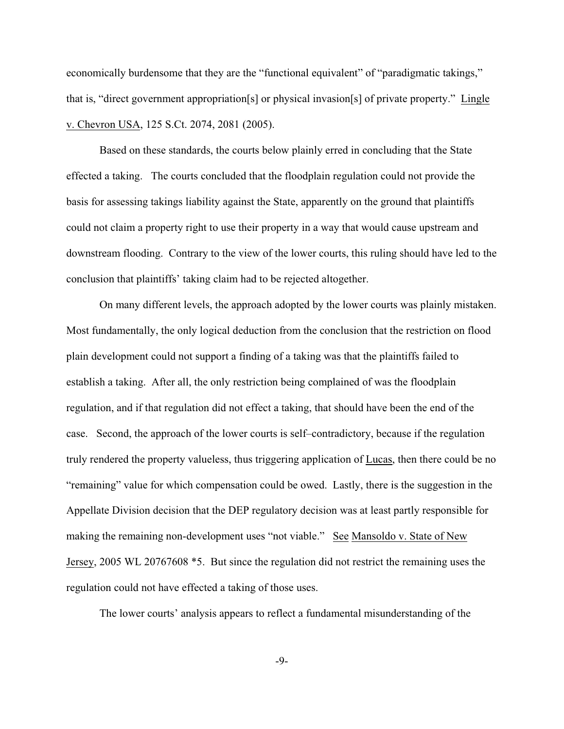economically burdensome that they are the "functional equivalent" of "paradigmatic takings," that is, "direct government appropriation[s] or physical invasion[s] of private property." Lingle v. Chevron USA, 125 S.Ct. 2074, 2081 (2005).

Based on these standards, the courts below plainly erred in concluding that the State effected a taking. The courts concluded that the floodplain regulation could not provide the basis for assessing takings liability against the State, apparently on the ground that plaintiffs could not claim a property right to use their property in a way that would cause upstream and downstream flooding. Contrary to the view of the lower courts, this ruling should have led to the conclusion that plaintiffs' taking claim had to be rejected altogether.

On many different levels, the approach adopted by the lower courts was plainly mistaken. Most fundamentally, the only logical deduction from the conclusion that the restriction on flood plain development could not support a finding of a taking was that the plaintiffs failed to establish a taking. After all, the only restriction being complained of was the floodplain regulation, and if that regulation did not effect a taking, that should have been the end of the case. Second, the approach of the lower courts is self–contradictory, because if the regulation truly rendered the property valueless, thus triggering application of Lucas, then there could be no "remaining" value for which compensation could be owed. Lastly, there is the suggestion in the Appellate Division decision that the DEP regulatory decision was at least partly responsible for making the remaining non-development uses "not viable." See Mansoldo v. State of New Jersey, 2005 WL 20767608 \*5. But since the regulation did not restrict the remaining uses the regulation could not have effected a taking of those uses.

The lower courts' analysis appears to reflect a fundamental misunderstanding of the

-9-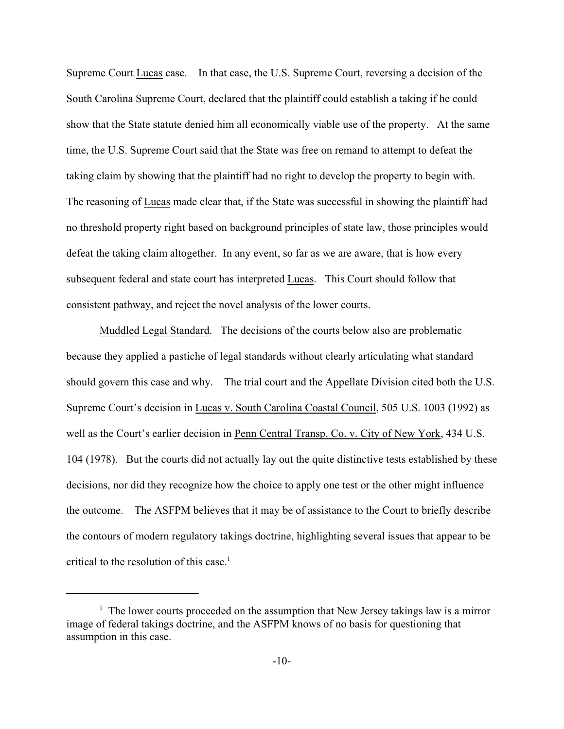Supreme Court Lucas case. In that case, the U.S. Supreme Court, reversing a decision of the South Carolina Supreme Court, declared that the plaintiff could establish a taking if he could show that the State statute denied him all economically viable use of the property. At the same time, the U.S. Supreme Court said that the State was free on remand to attempt to defeat the taking claim by showing that the plaintiff had no right to develop the property to begin with. The reasoning of Lucas made clear that, if the State was successful in showing the plaintiff had no threshold property right based on background principles of state law, those principles would defeat the taking claim altogether. In any event, so far as we are aware, that is how every subsequent federal and state court has interpreted Lucas. This Court should follow that consistent pathway, and reject the novel analysis of the lower courts.

Muddled Legal Standard. The decisions of the courts below also are problematic because they applied a pastiche of legal standards without clearly articulating what standard should govern this case and why. The trial court and the Appellate Division cited both the U.S. Supreme Court's decision in Lucas v. South Carolina Coastal Council, 505 U.S. 1003 (1992) as well as the Court's earlier decision in Penn Central Transp. Co. v. City of New York, 434 U.S. 104 (1978). But the courts did not actually lay out the quite distinctive tests established by these decisions, nor did they recognize how the choice to apply one test or the other might influence the outcome. The ASFPM believes that it may be of assistance to the Court to briefly describe the contours of modern regulatory takings doctrine, highlighting several issues that appear to be critical to the resolution of this case. $<sup>1</sup>$ </sup>

 $1$ . The lower courts proceeded on the assumption that New Jersey takings law is a mirror image of federal takings doctrine, and the ASFPM knows of no basis for questioning that assumption in this case.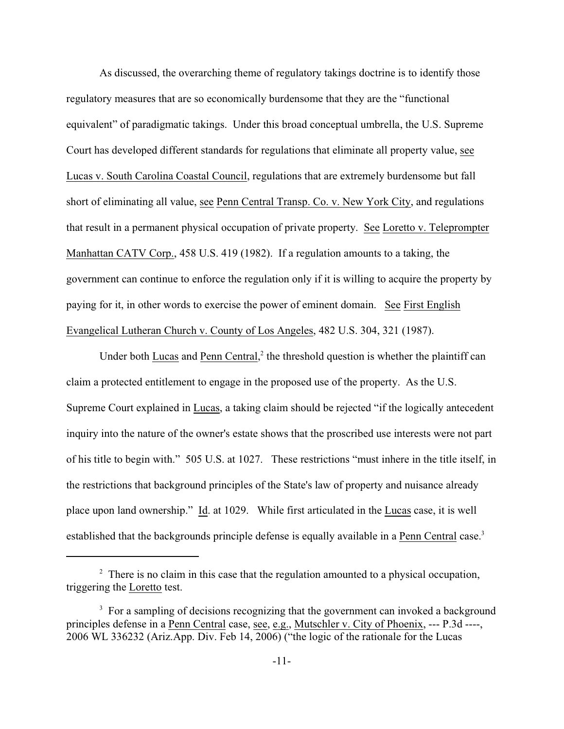As discussed, the overarching theme of regulatory takings doctrine is to identify those regulatory measures that are so economically burdensome that they are the "functional equivalent" of paradigmatic takings. Under this broad conceptual umbrella, the U.S. Supreme Court has developed different standards for regulations that eliminate all property value, see Lucas v. South Carolina Coastal Council, regulations that are extremely burdensome but fall short of eliminating all value, see Penn Central Transp. Co. v. New York City, and regulations that result in a permanent physical occupation of private property. See Loretto v. Teleprompter Manhattan CATV Corp., 458 U.S. 419 (1982). If a regulation amounts to a taking, the government can continue to enforce the regulation only if it is willing to acquire the property by paying for it, in other words to exercise the power of eminent domain. See First English Evangelical Lutheran Church v. County of Los Angeles, 482 U.S. 304, 321 (1987).

Under both Lucas and Penn Central, $2$  the threshold question is whether the plaintiff can claim a protected entitlement to engage in the proposed use of the property. As the U.S. Supreme Court explained in Lucas, a taking claim should be rejected "if the logically antecedent inquiry into the nature of the owner's estate shows that the proscribed use interests were not part of his title to begin with." 505 U.S. at 1027. These restrictions "must inhere in the title itself, in the restrictions that background principles of the State's law of property and nuisance already place upon land ownership." Id. at 1029. While first articulated in the Lucas case, it is well established that the backgrounds principle defense is equally available in a Penn Central case.<sup>3</sup>

 $\alpha$ <sup>2</sup> There is no claim in this case that the regulation amounted to a physical occupation, triggering the Loretto test.

<sup>&</sup>lt;sup>3</sup> For a sampling of decisions recognizing that the government can invoked a background principles defense in a Penn Central case, see, e.g., Mutschler v. City of Phoenix, --- P.3d ----, 2006 WL 336232 (Ariz.App. Div. Feb 14, 2006) ("the logic of the rationale for the Lucas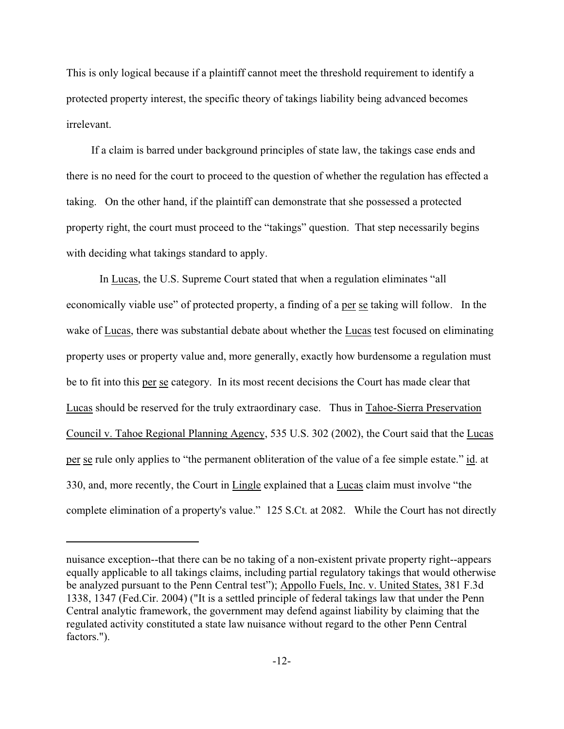This is only logical because if a plaintiff cannot meet the threshold requirement to identify a protected property interest, the specific theory of takings liability being advanced becomes irrelevant.

 If a claim is barred under background principles of state law, the takings case ends and there is no need for the court to proceed to the question of whether the regulation has effected a taking. On the other hand, if the plaintiff can demonstrate that she possessed a protected property right, the court must proceed to the "takings" question. That step necessarily begins with deciding what takings standard to apply.

In Lucas, the U.S. Supreme Court stated that when a regulation eliminates "all economically viable use" of protected property, a finding of a per se taking will follow. In the wake of Lucas, there was substantial debate about whether the Lucas test focused on eliminating property uses or property value and, more generally, exactly how burdensome a regulation must be to fit into this per se category. In its most recent decisions the Court has made clear that Lucas should be reserved for the truly extraordinary case. Thus in Tahoe-Sierra Preservation Council v. Tahoe Regional Planning Agency, 535 U.S. 302 (2002), the Court said that the Lucas per se rule only applies to "the permanent obliteration of the value of a fee simple estate." id. at 330, and, more recently, the Court in Lingle explained that a Lucas claim must involve "the complete elimination of a property's value." 125 S.Ct. at 2082. While the Court has not directly

nuisance exception--that there can be no taking of a non-existent private property right--appears equally applicable to all takings claims, including partial regulatory takings that would otherwise be analyzed pursuant to the Penn Central test"); Appollo Fuels, Inc. v. United States, 381 F.3d 1338, 1347 (Fed.Cir. 2004) ("It is a settled principle of federal takings law that under the Penn Central analytic framework, the government may defend against liability by claiming that the regulated activity constituted a state law nuisance without regard to the other Penn Central factors.").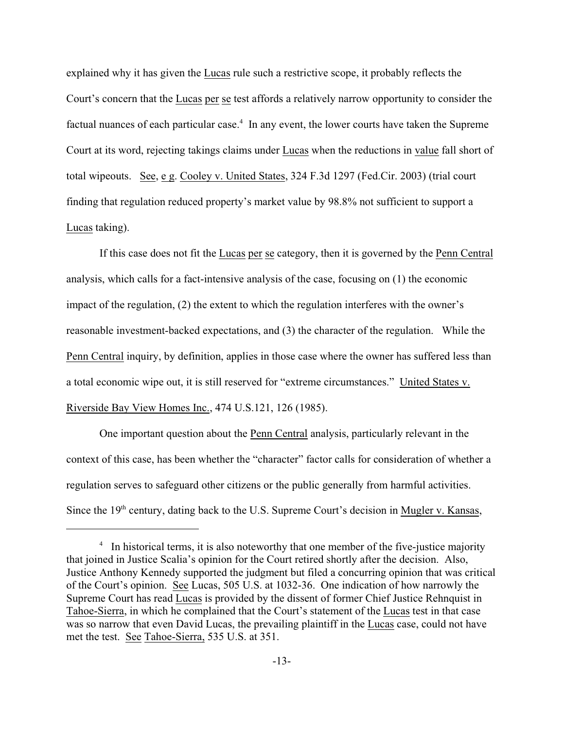explained why it has given the Lucas rule such a restrictive scope, it probably reflects the Court's concern that the Lucas per se test affords a relatively narrow opportunity to consider the factual nuances of each particular case.<sup> $4$ </sup> In any event, the lower courts have taken the Supreme Court at its word, rejecting takings claims under Lucas when the reductions in value fall short of total wipeouts. See, e g. Cooley v. United States, 324 F.3d 1297 (Fed.Cir. 2003) (trial court finding that regulation reduced property's market value by 98.8% not sufficient to support a Lucas taking).

If this case does not fit the Lucas per se category, then it is governed by the Penn Central analysis, which calls for a fact-intensive analysis of the case, focusing on (1) the economic impact of the regulation, (2) the extent to which the regulation interferes with the owner's reasonable investment-backed expectations, and (3) the character of the regulation. While the Penn Central inquiry, by definition, applies in those case where the owner has suffered less than a total economic wipe out, it is still reserved for "extreme circumstances." United States v. Riverside Bay View Homes Inc., 474 U.S.121, 126 (1985).

One important question about the Penn Central analysis, particularly relevant in the context of this case, has been whether the "character" factor calls for consideration of whether a regulation serves to safeguard other citizens or the public generally from harmful activities. Since the  $19<sup>th</sup>$  century, dating back to the U.S. Supreme Court's decision in Mugler v. Kansas,

 $4\;\;$  In historical terms, it is also noteworthy that one member of the five-justice majority that joined in Justice Scalia's opinion for the Court retired shortly after the decision. Also, Justice Anthony Kennedy supported the judgment but filed a concurring opinion that was critical of the Court's opinion. See Lucas, 505 U.S. at 1032-36. One indication of how narrowly the Supreme Court has read Lucas is provided by the dissent of former Chief Justice Rehnquist in Tahoe-Sierra, in which he complained that the Court's statement of the Lucas test in that case was so narrow that even David Lucas, the prevailing plaintiff in the Lucas case, could not have met the test. See Tahoe-Sierra, 535 U.S. at 351.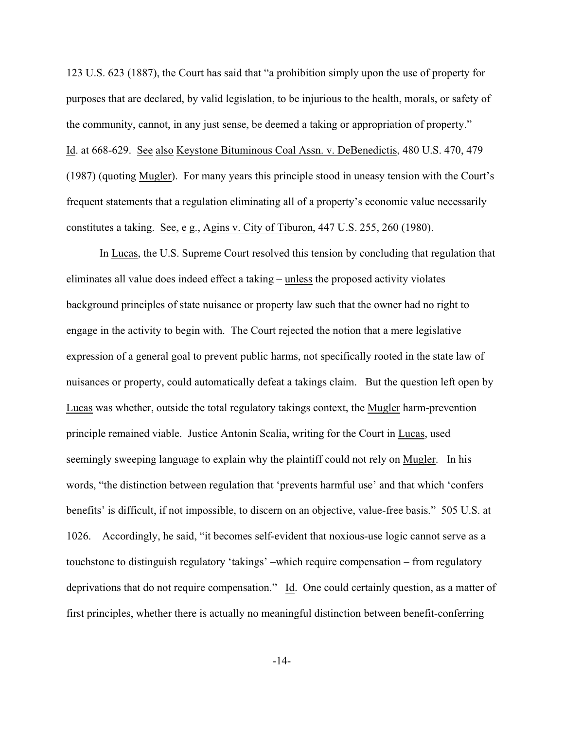123 U.S. 623 (1887), the Court has said that "a prohibition simply upon the use of property for purposes that are declared, by valid legislation, to be injurious to the health, morals, or safety of the community, cannot, in any just sense, be deemed a taking or appropriation of property." Id. at 668-629. See also Keystone Bituminous Coal Assn. v. DeBenedictis, 480 U.S. 470, 479 (1987) (quoting Mugler). For many years this principle stood in uneasy tension with the Court's frequent statements that a regulation eliminating all of a property's economic value necessarily constitutes a taking. See, e g., Agins v. City of Tiburon, 447 U.S. 255, 260 (1980).

In Lucas, the U.S. Supreme Court resolved this tension by concluding that regulation that eliminates all value does indeed effect a taking – unless the proposed activity violates background principles of state nuisance or property law such that the owner had no right to engage in the activity to begin with. The Court rejected the notion that a mere legislative expression of a general goal to prevent public harms, not specifically rooted in the state law of nuisances or property, could automatically defeat a takings claim. But the question left open by Lucas was whether, outside the total regulatory takings context, the Mugler harm-prevention principle remained viable. Justice Antonin Scalia, writing for the Court in Lucas, used seemingly sweeping language to explain why the plaintiff could not rely on Mugler. In his words, "the distinction between regulation that 'prevents harmful use' and that which 'confers benefits' is difficult, if not impossible, to discern on an objective, value-free basis." 505 U.S. at 1026. Accordingly, he said, "it becomes self-evident that noxious-use logic cannot serve as a touchstone to distinguish regulatory 'takings' –which require compensation – from regulatory deprivations that do not require compensation." Id. One could certainly question, as a matter of first principles, whether there is actually no meaningful distinction between benefit-conferring

-14-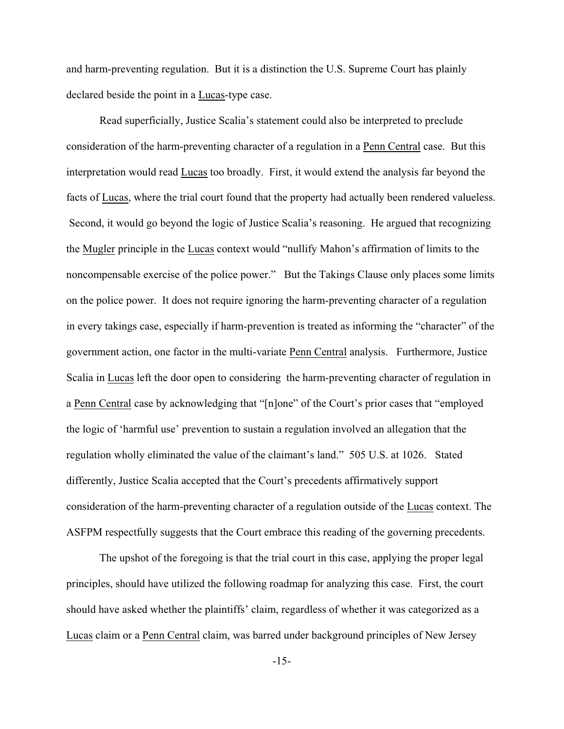and harm-preventing regulation. But it is a distinction the U.S. Supreme Court has plainly declared beside the point in a Lucas-type case.

Read superficially, Justice Scalia's statement could also be interpreted to preclude consideration of the harm-preventing character of a regulation in a Penn Central case. But this interpretation would read Lucas too broadly. First, it would extend the analysis far beyond the facts of Lucas, where the trial court found that the property had actually been rendered valueless. Second, it would go beyond the logic of Justice Scalia's reasoning. He argued that recognizing the Mugler principle in the Lucas context would "nullify Mahon's affirmation of limits to the noncompensable exercise of the police power." But the Takings Clause only places some limits on the police power. It does not require ignoring the harm-preventing character of a regulation in every takings case, especially if harm-prevention is treated as informing the "character" of the government action, one factor in the multi-variate Penn Central analysis. Furthermore, Justice Scalia in Lucas left the door open to considering the harm-preventing character of regulation in a Penn Central case by acknowledging that "[n]one" of the Court's prior cases that "employed the logic of 'harmful use' prevention to sustain a regulation involved an allegation that the regulation wholly eliminated the value of the claimant's land." 505 U.S. at 1026. Stated differently, Justice Scalia accepted that the Court's precedents affirmatively support consideration of the harm-preventing character of a regulation outside of the Lucas context. The ASFPM respectfully suggests that the Court embrace this reading of the governing precedents.

The upshot of the foregoing is that the trial court in this case, applying the proper legal principles, should have utilized the following roadmap for analyzing this case. First, the court should have asked whether the plaintiffs' claim, regardless of whether it was categorized as a Lucas claim or a Penn Central claim, was barred under background principles of New Jersey

-15-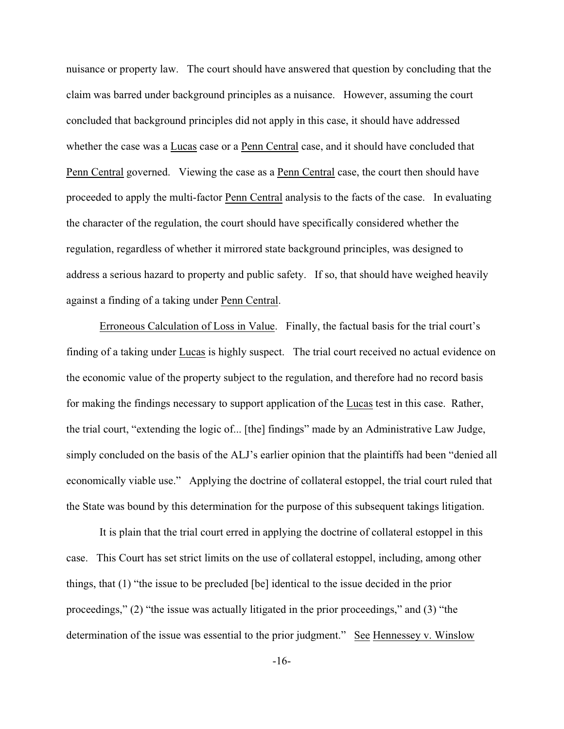nuisance or property law. The court should have answered that question by concluding that the claim was barred under background principles as a nuisance. However, assuming the court concluded that background principles did not apply in this case, it should have addressed whether the case was a Lucas case or a Penn Central case, and it should have concluded that Penn Central governed. Viewing the case as a Penn Central case, the court then should have proceeded to apply the multi-factor Penn Central analysis to the facts of the case. In evaluating the character of the regulation, the court should have specifically considered whether the regulation, regardless of whether it mirrored state background principles, was designed to address a serious hazard to property and public safety. If so, that should have weighed heavily against a finding of a taking under Penn Central.

Erroneous Calculation of Loss in Value. Finally, the factual basis for the trial court's finding of a taking under Lucas is highly suspect. The trial court received no actual evidence on the economic value of the property subject to the regulation, and therefore had no record basis for making the findings necessary to support application of the Lucas test in this case. Rather, the trial court, "extending the logic of... [the] findings" made by an Administrative Law Judge, simply concluded on the basis of the ALJ's earlier opinion that the plaintiffs had been "denied all economically viable use." Applying the doctrine of collateral estoppel, the trial court ruled that the State was bound by this determination for the purpose of this subsequent takings litigation.

It is plain that the trial court erred in applying the doctrine of collateral estoppel in this case. This Court has set strict limits on the use of collateral estoppel, including, among other things, that (1) "the issue to be precluded [be] identical to the issue decided in the prior proceedings," (2) "the issue was actually litigated in the prior proceedings," and (3) "the determination of the issue was essential to the prior judgment." See Hennessey v. Winslow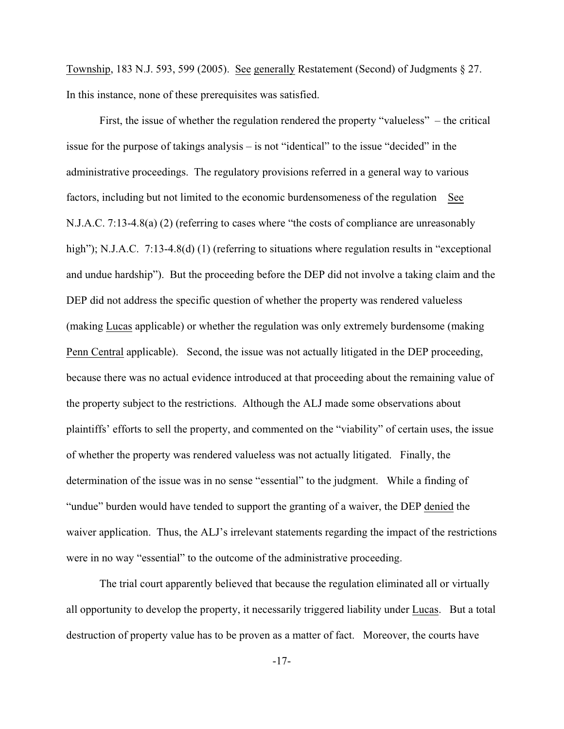Township, 183 N.J. 593, 599 (2005). See generally Restatement (Second) of Judgments § 27. In this instance, none of these prerequisites was satisfied.

First, the issue of whether the regulation rendered the property "valueless" – the critical issue for the purpose of takings analysis – is not "identical" to the issue "decided" in the administrative proceedings. The regulatory provisions referred in a general way to various factors, including but not limited to the economic burdensomeness of the regulation See N.J.A.C. 7:13-4.8(a) (2) (referring to cases where "the costs of compliance are unreasonably high"); N.J.A.C. 7:13-4.8(d) (1) (referring to situations where regulation results in "exceptional and undue hardship"). But the proceeding before the DEP did not involve a taking claim and the DEP did not address the specific question of whether the property was rendered valueless (making Lucas applicable) or whether the regulation was only extremely burdensome (making Penn Central applicable). Second, the issue was not actually litigated in the DEP proceeding, because there was no actual evidence introduced at that proceeding about the remaining value of the property subject to the restrictions. Although the ALJ made some observations about plaintiffs' efforts to sell the property, and commented on the "viability" of certain uses, the issue of whether the property was rendered valueless was not actually litigated. Finally, the determination of the issue was in no sense "essential" to the judgment. While a finding of "undue" burden would have tended to support the granting of a waiver, the DEP denied the waiver application. Thus, the ALJ's irrelevant statements regarding the impact of the restrictions were in no way "essential" to the outcome of the administrative proceeding.

The trial court apparently believed that because the regulation eliminated all or virtually all opportunity to develop the property, it necessarily triggered liability under Lucas. But a total destruction of property value has to be proven as a matter of fact. Moreover, the courts have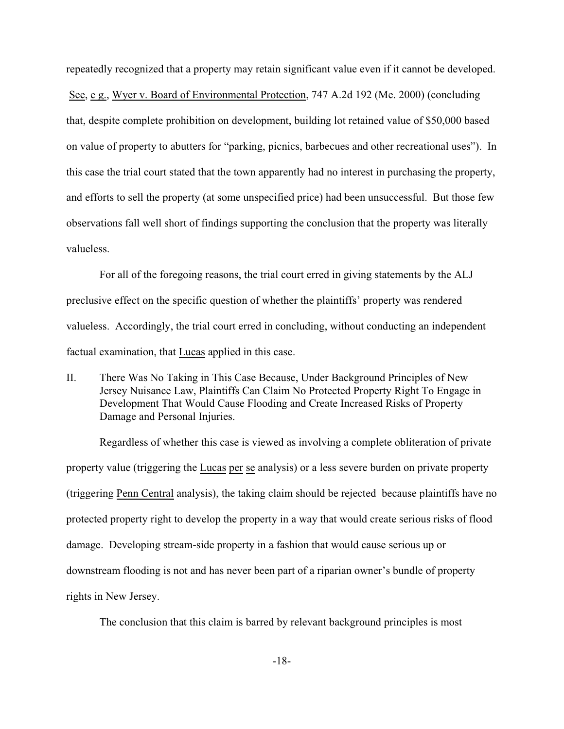repeatedly recognized that a property may retain significant value even if it cannot be developed. See, e g., Wyer v. Board of Environmental Protection, 747 A.2d 192 (Me. 2000) (concluding that, despite complete prohibition on development, building lot retained value of \$50,000 based on value of property to abutters for "parking, picnics, barbecues and other recreational uses"). In this case the trial court stated that the town apparently had no interest in purchasing the property, and efforts to sell the property (at some unspecified price) had been unsuccessful. But those few observations fall well short of findings supporting the conclusion that the property was literally valueless.

For all of the foregoing reasons, the trial court erred in giving statements by the ALJ preclusive effect on the specific question of whether the plaintiffs' property was rendered valueless. Accordingly, the trial court erred in concluding, without conducting an independent factual examination, that Lucas applied in this case.

II. There Was No Taking in This Case Because, Under Background Principles of New Jersey Nuisance Law, Plaintiffs Can Claim No Protected Property Right To Engage in Development That Would Cause Flooding and Create Increased Risks of Property Damage and Personal Injuries.

Regardless of whether this case is viewed as involving a complete obliteration of private property value (triggering the Lucas per se analysis) or a less severe burden on private property (triggering Penn Central analysis), the taking claim should be rejected because plaintiffs have no protected property right to develop the property in a way that would create serious risks of flood damage. Developing stream-side property in a fashion that would cause serious up or downstream flooding is not and has never been part of a riparian owner's bundle of property rights in New Jersey.

The conclusion that this claim is barred by relevant background principles is most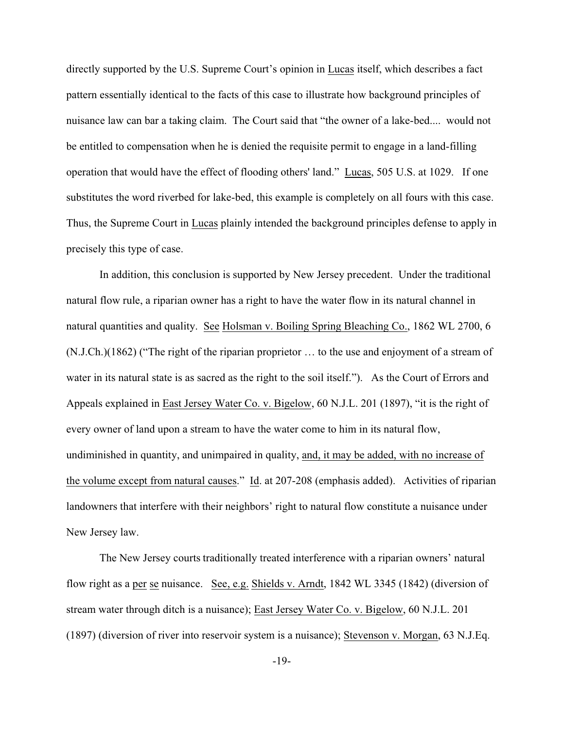directly supported by the U.S. Supreme Court's opinion in Lucas itself, which describes a fact pattern essentially identical to the facts of this case to illustrate how background principles of nuisance law can bar a taking claim. The Court said that "the owner of a lake-bed.... would not be entitled to compensation when he is denied the requisite permit to engage in a land-filling operation that would have the effect of flooding others' land." Lucas, 505 U.S. at 1029. If one substitutes the word riverbed for lake-bed, this example is completely on all fours with this case. Thus, the Supreme Court in Lucas plainly intended the background principles defense to apply in precisely this type of case.

In addition, this conclusion is supported by New Jersey precedent. Under the traditional natural flow rule, a riparian owner has a right to have the water flow in its natural channel in natural quantities and quality. See Holsman v. Boiling Spring Bleaching Co., 1862 WL 2700, 6 (N.J.Ch.)(1862) ("The right of the riparian proprietor … to the use and enjoyment of a stream of water in its natural state is as sacred as the right to the soil itself."). As the Court of Errors and Appeals explained in East Jersey Water Co. v. Bigelow, 60 N.J.L. 201 (1897), "it is the right of every owner of land upon a stream to have the water come to him in its natural flow, undiminished in quantity, and unimpaired in quality, and, it may be added, with no increase of the volume except from natural causes." Id. at 207-208 (emphasis added). Activities of riparian landowners that interfere with their neighbors' right to natural flow constitute a nuisance under New Jersey law.

The New Jersey courts traditionally treated interference with a riparian owners' natural flow right as a per se nuisance. See, e.g. Shields v. Arndt, 1842 WL 3345 (1842) (diversion of stream water through ditch is a nuisance); East Jersey Water Co. v. Bigelow, 60 N.J.L. 201 (1897) (diversion of river into reservoir system is a nuisance); Stevenson v. Morgan, 63 N.J.Eq.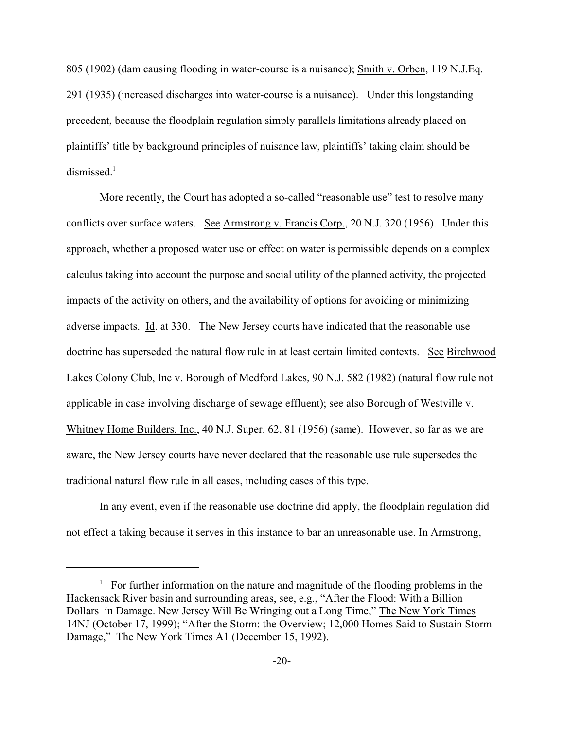805 (1902) (dam causing flooding in water-course is a nuisance); Smith v. Orben, 119 N.J.Eq. 291 (1935) (increased discharges into water-course is a nuisance). Under this longstanding precedent, because the floodplain regulation simply parallels limitations already placed on plaintiffs' title by background principles of nuisance law, plaintiffs' taking claim should be  $d$ ismissed.<sup>1</sup>

More recently, the Court has adopted a so-called "reasonable use" test to resolve many conflicts over surface waters. See Armstrong v. Francis Corp., 20 N.J. 320 (1956). Under this approach, whether a proposed water use or effect on water is permissible depends on a complex calculus taking into account the purpose and social utility of the planned activity, the projected impacts of the activity on others, and the availability of options for avoiding or minimizing adverse impacts. Id. at 330. The New Jersey courts have indicated that the reasonable use doctrine has superseded the natural flow rule in at least certain limited contexts. See Birchwood Lakes Colony Club, Inc v. Borough of Medford Lakes, 90 N.J. 582 (1982) (natural flow rule not applicable in case involving discharge of sewage effluent); see also Borough of Westville v. Whitney Home Builders, Inc., 40 N.J. Super. 62, 81 (1956) (same). However, so far as we are aware, the New Jersey courts have never declared that the reasonable use rule supersedes the traditional natural flow rule in all cases, including cases of this type.

In any event, even if the reasonable use doctrine did apply, the floodplain regulation did not effect a taking because it serves in this instance to bar an unreasonable use. In Armstrong,

 $\frac{1}{1}$  For further information on the nature and magnitude of the flooding problems in the Hackensack River basin and surrounding areas, see, e.g., "After the Flood: With a Billion Dollars in Damage. New Jersey Will Be Wringing out a Long Time," The New York Times 14NJ (October 17, 1999); "After the Storm: the Overview; 12,000 Homes Said to Sustain Storm Damage," The New York Times A1 (December 15, 1992).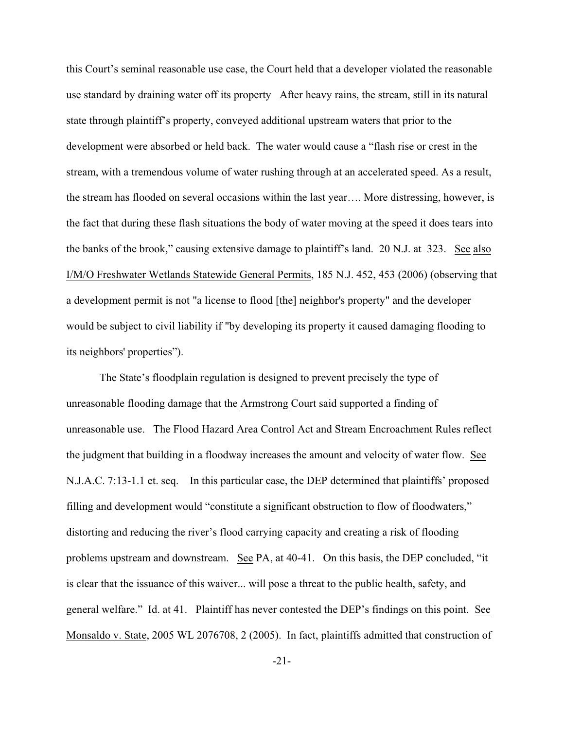this Court's seminal reasonable use case, the Court held that a developer violated the reasonable use standard by draining water off its property After heavy rains, the stream, still in its natural state through plaintiff's property, conveyed additional upstream waters that prior to the development were absorbed or held back. The water would cause a "flash rise or crest in the stream, with a tremendous volume of water rushing through at an accelerated speed. As a result, the stream has flooded on several occasions within the last year…. More distressing, however, is the fact that during these flash situations the body of water moving at the speed it does tears into the banks of the brook," causing extensive damage to plaintiff's land. 20 N.J. at 323. See also I/M/O Freshwater Wetlands Statewide General Permits, 185 N.J. 452, 453 (2006) (observing that a development permit is not "a license to flood [the] neighbor's property" and the developer would be subject to civil liability if "by developing its property it caused damaging flooding to its neighbors' properties").

The State's floodplain regulation is designed to prevent precisely the type of unreasonable flooding damage that the Armstrong Court said supported a finding of unreasonable use. The Flood Hazard Area Control Act and Stream Encroachment Rules reflect the judgment that building in a floodway increases the amount and velocity of water flow. See N.J.A.C. 7:13-1.1 et. seq. In this particular case, the DEP determined that plaintiffs' proposed filling and development would "constitute a significant obstruction to flow of floodwaters," distorting and reducing the river's flood carrying capacity and creating a risk of flooding problems upstream and downstream. See PA, at 40-41. On this basis, the DEP concluded, "it is clear that the issuance of this waiver... will pose a threat to the public health, safety, and general welfare." Id. at 41. Plaintiff has never contested the DEP's findings on this point. See Monsaldo v. State, 2005 WL 2076708, 2 (2005). In fact, plaintiffs admitted that construction of

-21-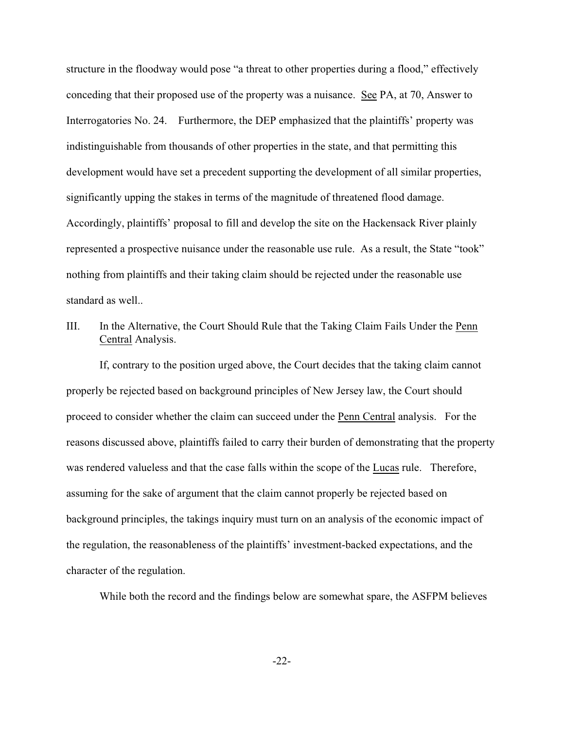structure in the floodway would pose "a threat to other properties during a flood," effectively conceding that their proposed use of the property was a nuisance. See PA, at 70, Answer to Interrogatories No. 24. Furthermore, the DEP emphasized that the plaintiffs' property was indistinguishable from thousands of other properties in the state, and that permitting this development would have set a precedent supporting the development of all similar properties, significantly upping the stakes in terms of the magnitude of threatened flood damage. Accordingly, plaintiffs' proposal to fill and develop the site on the Hackensack River plainly represented a prospective nuisance under the reasonable use rule. As a result, the State "took" nothing from plaintiffs and their taking claim should be rejected under the reasonable use standard as well..

III. In the Alternative, the Court Should Rule that the Taking Claim Fails Under the Penn Central Analysis.

If, contrary to the position urged above, the Court decides that the taking claim cannot properly be rejected based on background principles of New Jersey law, the Court should proceed to consider whether the claim can succeed under the Penn Central analysis. For the reasons discussed above, plaintiffs failed to carry their burden of demonstrating that the property was rendered valueless and that the case falls within the scope of the Lucas rule. Therefore, assuming for the sake of argument that the claim cannot properly be rejected based on background principles, the takings inquiry must turn on an analysis of the economic impact of the regulation, the reasonableness of the plaintiffs' investment-backed expectations, and the character of the regulation.

While both the record and the findings below are somewhat spare, the ASFPM believes

-22-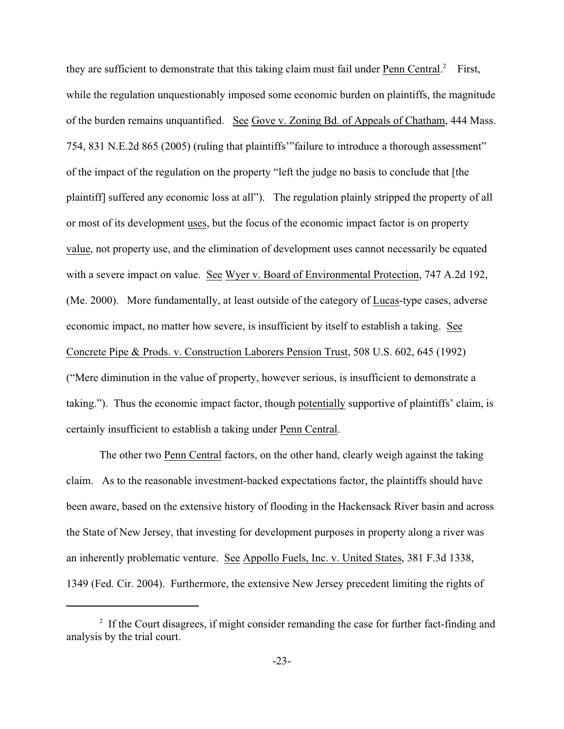they are sufficient to demonstrate that this taking claim must fail under Penn Central.<sup>2</sup> First, while the regulation unquestionably imposed some economic burden on plaintiffs, the magnitude of the burden remains unquantified. See Gove v. Zoning Bd. of Appeals of Chatham, 444 Mass. 754, 831 N.E.2d 865 (2005) (ruling that plaintiffs'"failure to introduce a thorough assessment" of the impact of the regulation on the property "left the judge no basis to conclude that [the plaintiff] suffered any economic loss at all"). The regulation plainly stripped the property of all or most of its development uses, but the focus of the economic impact factor is on property value, not property use, and the elimination of development uses cannot necessarily be equated with a severe impact on value. See Wyer v. Board of Environmental Protection, 747 A.2d 192, (Me. 2000). More fundamentally, at least outside of the category of Lucas-type cases, adverse economic impact, no matter how severe, is insufficient by itself to establish a taking. See Concrete Pipe & Prods. v. Construction Laborers Pension Trust, 508 U.S. 602, 645 (1992) ("Mere diminution in the value of property, however serious, is insufficient to demonstrate a taking."). Thus the economic impact factor, though potentially supportive of plaintiffs' claim, is certainly insufficient to establish a taking under Penn Central.

The other two Penn Central factors, on the other hand, clearly weigh against the taking claim. As to the reasonable investment-backed expectations factor, the plaintiffs should have been aware, based on the extensive history of flooding in the Hackensack River basin and across the State of New Jersey, that investing for development purposes in property along a river was an inherently problematic venture. See Appollo Fuels, Inc. v. United States, 381 F.3d 1338, 1349 (Fed. Cir. 2004). Furthermore, the extensive New Jersey precedent limiting the rights of

 $I<sup>2</sup>$  If the Court disagrees, if might consider remanding the case for further fact-finding and analysis by the trial court.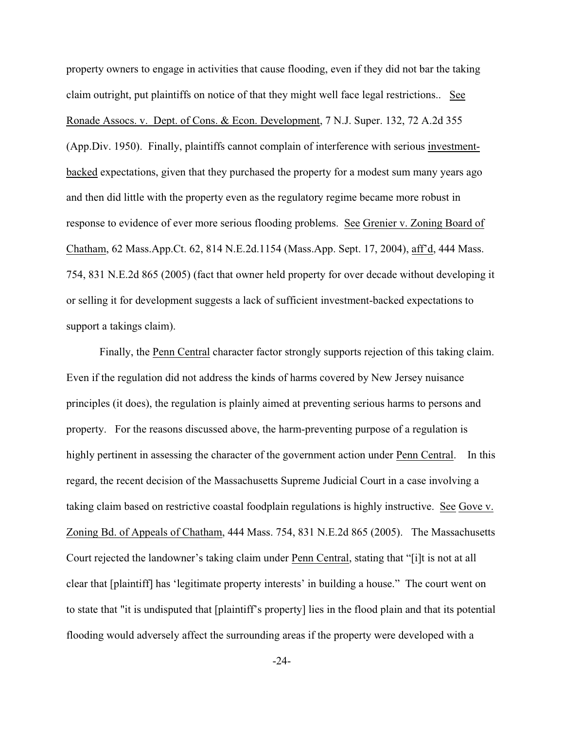property owners to engage in activities that cause flooding, even if they did not bar the taking claim outright, put plaintiffs on notice of that they might well face legal restrictions.. See Ronade Assocs. v. Dept. of Cons. & Econ. Development, 7 N.J. Super. 132, 72 A.2d 355 (App.Div. 1950). Finally, plaintiffs cannot complain of interference with serious investmentbacked expectations, given that they purchased the property for a modest sum many years ago and then did little with the property even as the regulatory regime became more robust in response to evidence of ever more serious flooding problems. See Grenier v. Zoning Board of Chatham, 62 Mass.App.Ct. 62, 814 N.E.2d.1154 (Mass.App. Sept. 17, 2004), aff'd, 444 Mass. 754, 831 N.E.2d 865 (2005) (fact that owner held property for over decade without developing it or selling it for development suggests a lack of sufficient investment-backed expectations to support a takings claim).

Finally, the Penn Central character factor strongly supports rejection of this taking claim. Even if the regulation did not address the kinds of harms covered by New Jersey nuisance principles (it does), the regulation is plainly aimed at preventing serious harms to persons and property. For the reasons discussed above, the harm-preventing purpose of a regulation is highly pertinent in assessing the character of the government action under Penn Central. In this regard, the recent decision of the Massachusetts Supreme Judicial Court in a case involving a taking claim based on restrictive coastal foodplain regulations is highly instructive. See Gove v. Zoning Bd. of Appeals of Chatham, 444 Mass. 754, 831 N.E.2d 865 (2005). The Massachusetts Court rejected the landowner's taking claim under Penn Central, stating that "[i]t is not at all clear that [plaintiff] has 'legitimate property interests' in building a house." The court went on to state that "it is undisputed that [plaintiff's property] lies in the flood plain and that its potential flooding would adversely affect the surrounding areas if the property were developed with a

-24-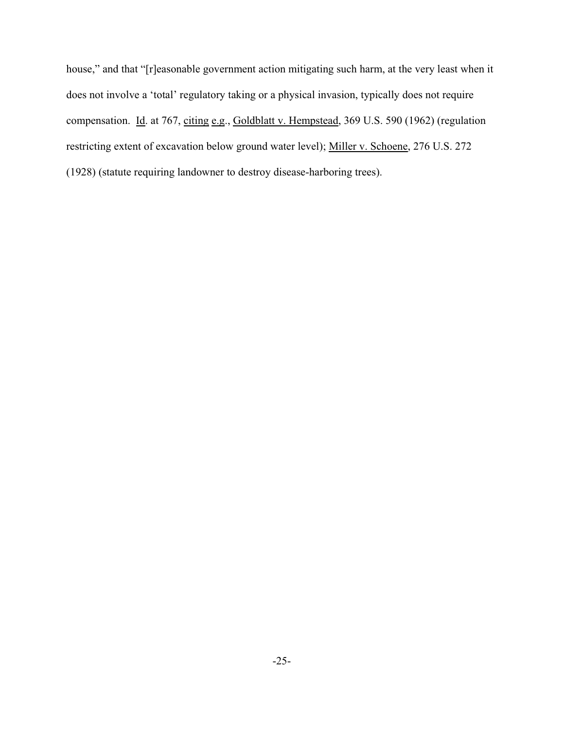house," and that "[r]easonable government action mitigating such harm, at the very least when it does not involve a 'total' regulatory taking or a physical invasion, typically does not require compensation. Id. at 767, citing e.g., Goldblatt v. Hempstead, 369 U.S. 590 (1962) (regulation restricting extent of excavation below ground water level); Miller v. Schoene, 276 U.S. 272 (1928) (statute requiring landowner to destroy disease-harboring trees).